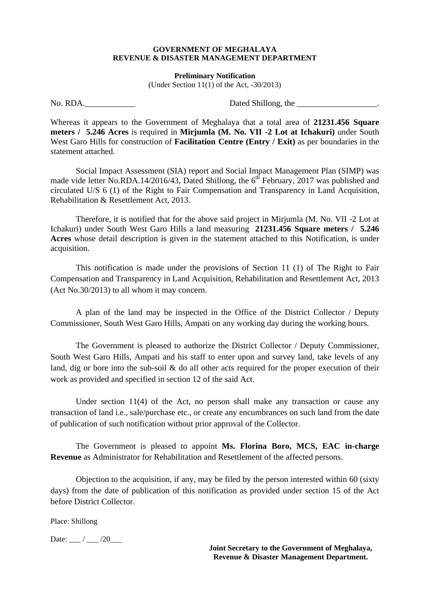## **GOVERNMENT OF MEGHALAYA REVENUE & DISASTER MANAGEMENT DEPARTMENT**

**Preliminary Notification** 

(Under Section  $11(1)$  of the Act,  $-30/2013$ )

No. RDA.\_\_\_\_\_\_\_\_\_\_\_\_ Dated Shillong, the \_\_\_\_\_\_\_\_\_\_\_\_\_\_\_\_\_\_\_.

Whereas it appears to the Government of Meghalaya that a total area of **21231.456 Square meters / 5.246 Acres** is required in **Mirjumla (M. No. VII -2 Lot at Ichakuri)** under South West Garo Hills for construction of **Facilitation Centre (Entry / Exit)** as per boundaries in the statement attached.

 Social Impact Assessment (SIA) report and Social Impact Management Plan (SIMP) was made vide letter No.RDA.14/2016/43, Dated Shillong, the  $6<sup>th</sup>$  February, 2017 was published and circulated U/S 6 (1) of the Right to Fair Compensation and Transparency in Land Acquisition, Rehabilitation & Resettlement Act, 2013.

 Therefore, it is notified that for the above said project in Mirjumla (M. No. VII -2 Lot at Ichakuri) under South West Garo Hills a land measuring **21231.456 Square meters / 5.246 Acres** whose detail description is given in the statement attached to this Notification, is under acquisition.

 This notification is made under the provisions of Section 11 (1) of The Right to Fair Compensation and Transparency in Land Acquisition, Rehabilitation and Resettlement Act, 2013 (Act No.30/2013) to all whom it may concern.

 A plan of the land may be inspected in the Office of the District Collector / Deputy Commissioner, South West Garo Hills, Ampati on any working day during the working hours.

 The Government is pleased to authorize the District Collector / Deputy Commissioner, South West Garo Hills, Ampati and his staff to enter upon and survey land, take levels of any land, dig or bore into the sub-soil & do all other acts required for the proper execution of their work as provided and specified in section 12 of the said Act.

 Under section 11(4) of the Act, no person shall make any transaction or cause any transaction of land i.e., sale/purchase etc., or create any encumbrances on such land from the date of publication of such notification without prior approval of the Collector.

 The Government is pleased to appoint **Ms. Florina Boro, MCS, EAC in-charge Revenue** as Administrator for Rehabilitation and Resettlement of the affected persons.

 Objection to the acquisition, if any, may be filed by the person interested within 60 (sixty days) from the date of publication of this notification as provided under section 15 of the Act before District Collector.

Place: Shillong

Date: / / /20

**Joint Secretary to the Government of Meghalaya, Revenue & Disaster Management Department.**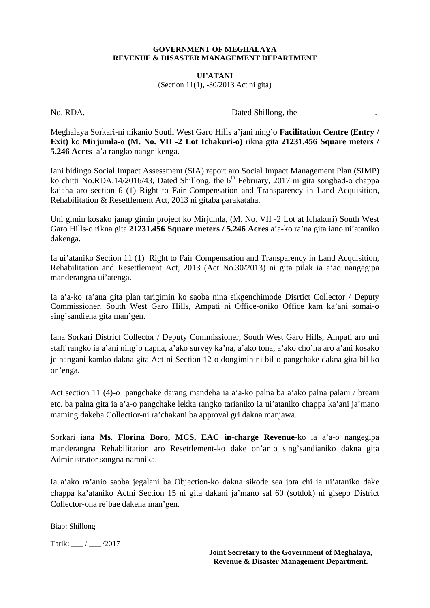## **GOVERNMENT OF MEGHALAYA REVENUE & DISASTER MANAGEMENT DEPARTMENT**

**UI'ATANI**  (Section 11(1), -30/2013 Act ni gita)

No. RDA. Dated Shillong, the

Meghalaya Sorkari-ni nikanio South West Garo Hills a'jani ning'o **Facilitation Centre (Entry / Exit)** ko **Mirjumla-o (M. No. VII -2 Lot Ichakuri-o)** rikna gita **21231.456 Square meters / 5.246 Acres** a'a rangko nangnikenga.

Iani bidingo Social Impact Assessment (SIA) report aro Social Impact Management Plan (SIMP) ko chitti No.RDA.14/2016/43, Dated Shillong, the  $6<sup>th</sup>$  February, 2017 ni gita songbad-o chappa ka'aha aro section 6 (1) Right to Fair Compensation and Transparency in Land Acquisition, Rehabilitation & Resettlement Act, 2013 ni gitaba parakataha.

Uni gimin kosako janap gimin project ko Mirjumla, (M. No. VII -2 Lot at Ichakuri) South West Garo Hills-o rikna gita **21231.456 Square meters / 5.246 Acres** a'a-ko ra'na gita iano ui'ataniko dakenga.

Ia ui'ataniko Section 11 (1) Right to Fair Compensation and Transparency in Land Acquisition, Rehabilitation and Resettlement Act, 2013 (Act No.30/2013) ni gita pilak ia a'ao nangegipa manderangna ui'atenga.

Ia a'a-ko ra'ana gita plan tarigimin ko saoba nina sikgenchimode Disrtict Collector / Deputy Commissioner, South West Garo Hills, Ampati ni Office-oniko Office kam ka'ani somai-o sing'sandiena gita man'gen.

Iana Sorkari District Collector / Deputy Commissioner, South West Garo Hills, Ampati aro uni staff rangko ia a'ani ning'o napna, a'ako survey ka'na, a'ako tona, a'ako cho'na aro a'ani kosako je nangani kamko dakna gita Act-ni Section 12-o dongimin ni bil-o pangchake dakna gita bil ko on'enga.

Act section 11 (4)-o pangchake darang mandeba ia a'a-ko palna ba a'ako palna palani / breani etc. ba palna gita ia a'a-o pangchake lekka rangko tarianiko ia ui'ataniko chappa ka'ani ja'mano maming dakeba Collectior-ni ra'chakani ba approval gri dakna manjawa.

Sorkari iana **Ms. Florina Boro, MCS, EAC in-charge Revenue-**ko ia a'a-o nangegipa manderangna Rehabilitation aro Resettlement-ko dake on'anio sing'sandianiko dakna gita Administrator songna namnika.

Ia a'ako ra'anio saoba jegalani ba Objection-ko dakna sikode sea jota chi ia ui'ataniko dake chappa ka'ataniko Actni Section 15 ni gita dakani ja'mano sal 60 (sotdok) ni gisepo District Collector-ona re'bae dakena man'gen.

Biap: Shillong

Tarik: \_\_\_ / \_\_\_ /2017

**Joint Secretary to the Government of Meghalaya, Revenue & Disaster Management Department.**